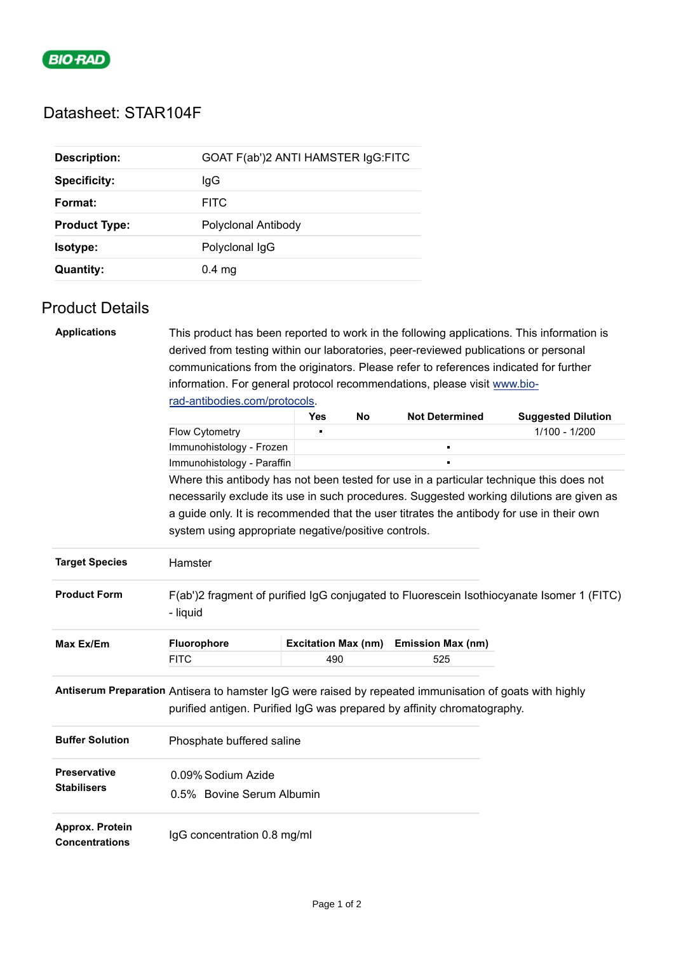

## Datasheet: STAR104F

| <b>Description:</b>  | GOAT F(ab')2 ANTI HAMSTER IgG:FITC |
|----------------------|------------------------------------|
| <b>Specificity:</b>  | lgG                                |
| Format:              | <b>FITC</b>                        |
| <b>Product Type:</b> | Polyclonal Antibody                |
| Isotype:             | Polyclonal IgG                     |
| <b>Quantity:</b>     | $0.4$ mg                           |

## Product Details

| <b>Applications</b>                                                                                                                                                                | This product has been reported to work in the following applications. This information is                                                        |                            |    |                          |                           |  |  |  |
|------------------------------------------------------------------------------------------------------------------------------------------------------------------------------------|--------------------------------------------------------------------------------------------------------------------------------------------------|----------------------------|----|--------------------------|---------------------------|--|--|--|
|                                                                                                                                                                                    | derived from testing within our laboratories, peer-reviewed publications or personal                                                             |                            |    |                          |                           |  |  |  |
|                                                                                                                                                                                    | communications from the originators. Please refer to references indicated for further                                                            |                            |    |                          |                           |  |  |  |
|                                                                                                                                                                                    | information. For general protocol recommendations, please visit www.bio-                                                                         |                            |    |                          |                           |  |  |  |
|                                                                                                                                                                                    | rad-antibodies.com/protocols.                                                                                                                    |                            |    |                          |                           |  |  |  |
|                                                                                                                                                                                    |                                                                                                                                                  | <b>Yes</b>                 | No | <b>Not Determined</b>    | <b>Suggested Dilution</b> |  |  |  |
|                                                                                                                                                                                    | Flow Cytometry                                                                                                                                   |                            |    |                          | 1/100 - 1/200             |  |  |  |
|                                                                                                                                                                                    | Immunohistology - Frozen                                                                                                                         |                            |    | п                        |                           |  |  |  |
|                                                                                                                                                                                    | Immunohistology - Paraffin                                                                                                                       |                            |    |                          |                           |  |  |  |
|                                                                                                                                                                                    | Where this antibody has not been tested for use in a particular technique this does not                                                          |                            |    |                          |                           |  |  |  |
|                                                                                                                                                                                    | necessarily exclude its use in such procedures. Suggested working dilutions are given as                                                         |                            |    |                          |                           |  |  |  |
|                                                                                                                                                                                    | a guide only. It is recommended that the user titrates the antibody for use in their own<br>system using appropriate negative/positive controls. |                            |    |                          |                           |  |  |  |
|                                                                                                                                                                                    |                                                                                                                                                  |                            |    |                          |                           |  |  |  |
|                                                                                                                                                                                    |                                                                                                                                                  |                            |    |                          |                           |  |  |  |
| <b>Target Species</b>                                                                                                                                                              | Hamster                                                                                                                                          |                            |    |                          |                           |  |  |  |
|                                                                                                                                                                                    |                                                                                                                                                  |                            |    |                          |                           |  |  |  |
| <b>Product Form</b>                                                                                                                                                                | F(ab')2 fragment of purified IgG conjugated to Fluorescein Isothiocyanate Isomer 1 (FITC)                                                        |                            |    |                          |                           |  |  |  |
|                                                                                                                                                                                    | - liquid                                                                                                                                         |                            |    |                          |                           |  |  |  |
| Max Ex/Em                                                                                                                                                                          | Fluorophore                                                                                                                                      | <b>Excitation Max (nm)</b> |    | <b>Emission Max (nm)</b> |                           |  |  |  |
|                                                                                                                                                                                    | <b>FITC</b>                                                                                                                                      | 490                        |    | 525                      |                           |  |  |  |
|                                                                                                                                                                                    |                                                                                                                                                  |                            |    |                          |                           |  |  |  |
|                                                                                                                                                                                    |                                                                                                                                                  |                            |    |                          |                           |  |  |  |
| Antiserum Preparation Antisera to hamster IgG were raised by repeated immunisation of goats with highly<br>purified antigen. Purified IgG was prepared by affinity chromatography. |                                                                                                                                                  |                            |    |                          |                           |  |  |  |
|                                                                                                                                                                                    |                                                                                                                                                  |                            |    |                          |                           |  |  |  |
| <b>Buffer Solution</b>                                                                                                                                                             | Phosphate buffered saline                                                                                                                        |                            |    |                          |                           |  |  |  |
|                                                                                                                                                                                    |                                                                                                                                                  |                            |    |                          |                           |  |  |  |
| <b>Preservative</b>                                                                                                                                                                | 0.09% Sodium Azide                                                                                                                               |                            |    |                          |                           |  |  |  |
| <b>Stabilisers</b>                                                                                                                                                                 | 0.5% Bovine Serum Albumin                                                                                                                        |                            |    |                          |                           |  |  |  |
|                                                                                                                                                                                    |                                                                                                                                                  |                            |    |                          |                           |  |  |  |
| Approx. Protein                                                                                                                                                                    |                                                                                                                                                  |                            |    |                          |                           |  |  |  |
| <b>Concentrations</b>                                                                                                                                                              | IgG concentration 0.8 mg/ml                                                                                                                      |                            |    |                          |                           |  |  |  |
|                                                                                                                                                                                    |                                                                                                                                                  |                            |    |                          |                           |  |  |  |